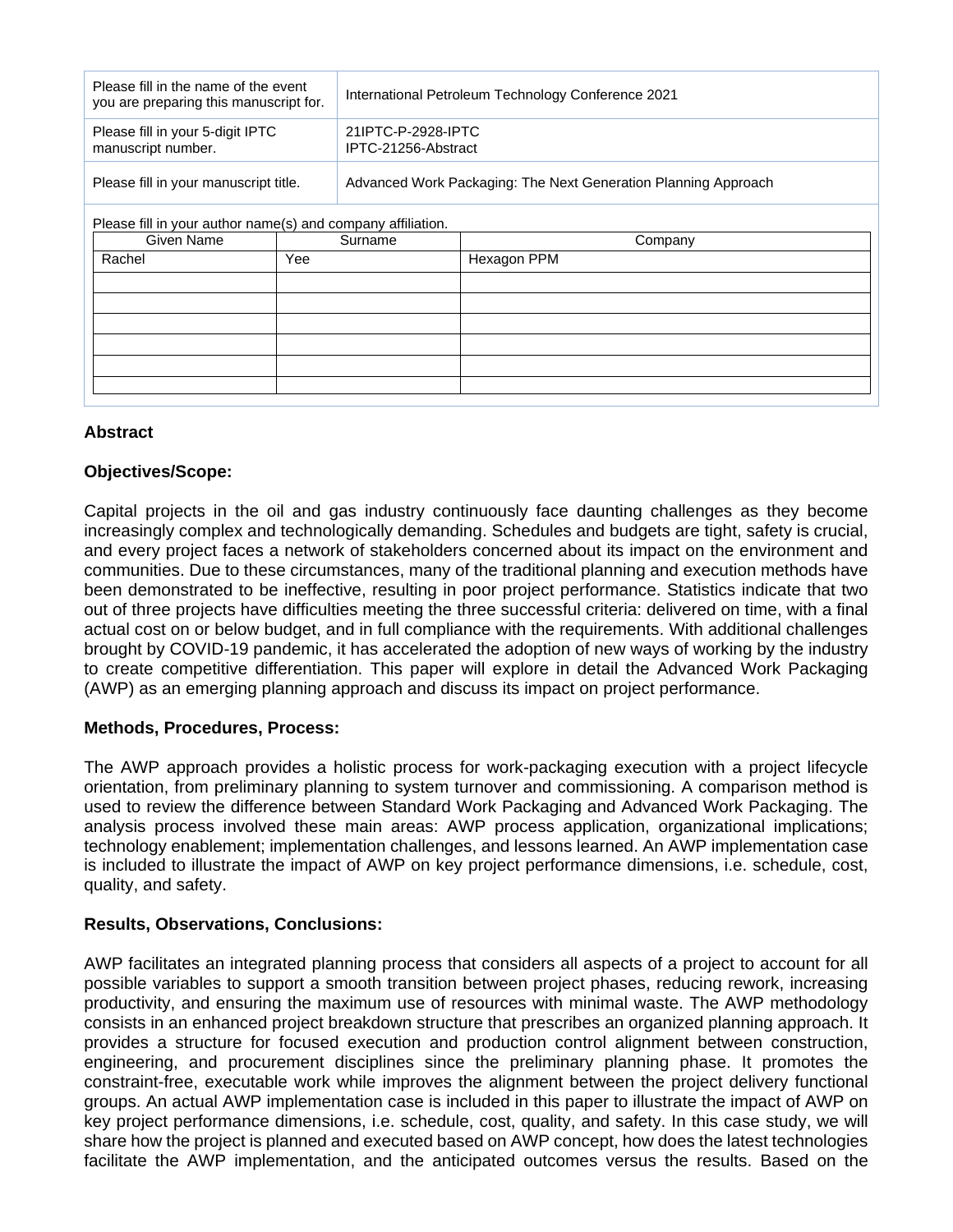| Please fill in the name of the event<br>you are preparing this manuscript for. |  | International Petroleum Technology Conference 2021             |  |
|--------------------------------------------------------------------------------|--|----------------------------------------------------------------|--|
| Please fill in your 5-digit IPTC<br>manuscript number.                         |  | 21IPTC-P-2928-IPTC<br>IPTC-21256-Abstract                      |  |
| Please fill in your manuscript title.                                          |  | Advanced Work Packaging: The Next Generation Planning Approach |  |
| Please fill in your author name(s) and company affiliation.                    |  |                                                                |  |
| Surname                                                                        |  | Company                                                        |  |
| Yee                                                                            |  | Hexagon PPM                                                    |  |
|                                                                                |  |                                                                |  |
|                                                                                |  |                                                                |  |
|                                                                                |  |                                                                |  |
|                                                                                |  |                                                                |  |
|                                                                                |  |                                                                |  |
|                                                                                |  |                                                                |  |
|                                                                                |  |                                                                |  |

# **Abstract**

## **Objectives/Scope:**

Capital projects in the oil and gas industry continuously face daunting challenges as they become increasingly complex and technologically demanding. Schedules and budgets are tight, safety is crucial, and every project faces a network of stakeholders concerned about its impact on the environment and communities. Due to these circumstances, many of the traditional planning and execution methods have been demonstrated to be ineffective, resulting in poor project performance. Statistics indicate that two out of three projects have difficulties meeting the three successful criteria: delivered on time, with a final actual cost on or below budget, and in full compliance with the requirements. With additional challenges brought by COVID-19 pandemic, it has accelerated the adoption of new ways of working by the industry to create competitive differentiation. This paper will explore in detail the Advanced Work Packaging (AWP) as an emerging planning approach and discuss its impact on project performance.

## **Methods, Procedures, Process:**

The AWP approach provides a holistic process for work-packaging execution with a project lifecycle orientation, from preliminary planning to system turnover and commissioning. A comparison method is used to review the difference between Standard Work Packaging and Advanced Work Packaging. The analysis process involved these main areas: AWP process application, organizational implications; technology enablement; implementation challenges, and lessons learned. An AWP implementation case is included to illustrate the impact of AWP on key project performance dimensions, i.e. schedule, cost, quality, and safety.

## **Results, Observations, Conclusions:**

AWP facilitates an integrated planning process that considers all aspects of a project to account for all possible variables to support a smooth transition between project phases, reducing rework, increasing productivity, and ensuring the maximum use of resources with minimal waste. The AWP methodology consists in an enhanced project breakdown structure that prescribes an organized planning approach. It provides a structure for focused execution and production control alignment between construction, engineering, and procurement disciplines since the preliminary planning phase. It promotes the constraint-free, executable work while improves the alignment between the project delivery functional groups. An actual AWP implementation case is included in this paper to illustrate the impact of AWP on key project performance dimensions, i.e. schedule, cost, quality, and safety. In this case study, we will share how the project is planned and executed based on AWP concept, how does the latest technologies facilitate the AWP implementation, and the anticipated outcomes versus the results. Based on the